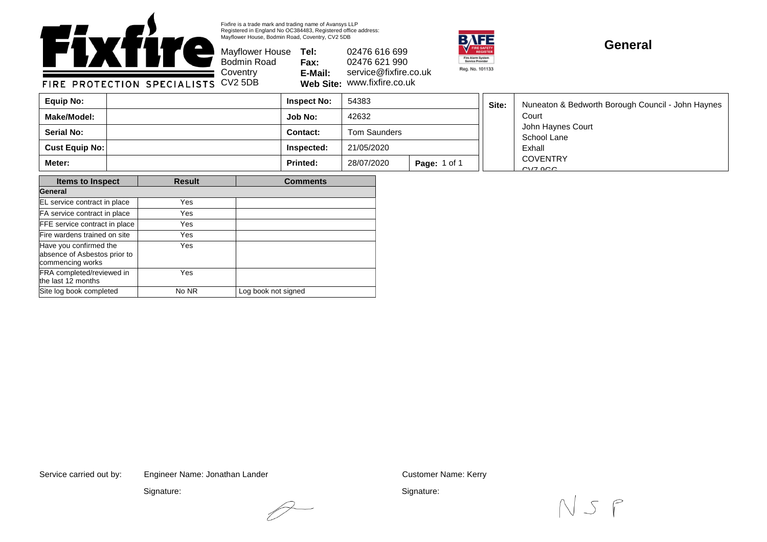

Fixfire is a trade mark and trading name of Avansys LLP Registered in England No OC384483, Registered office address: Mayflower House, Bodmin Road, Coventry, CV2 5DB

Mayflower House **Tel: Fax: E-Mail: Web Site:** 02476 616 699 02476 621 990 service@fixfire.co.uk w.fixfire.co.uk



## **General**

FIRE PROTECTION SPECIALISTS

| ■ Coventry | E-Mail:       | servi |
|------------|---------------|-------|
| s CV25DB   | Web Site: WWW |       |

Bodmin Road

| Equip No:             | <b>Inspect No:</b> | 54383        |                     | Site: | Nuneaton & Bedworth Borough Council - John Haynes |
|-----------------------|--------------------|--------------|---------------------|-------|---------------------------------------------------|
| Make/Model:           | <b>Job No:</b>     | 42632        |                     |       | Court                                             |
| <b>Serial No:</b>     | Contact:           | Tom Saunders |                     |       | John Haynes Court<br>School Lane<br>Exhall        |
| <b>Cust Equip No:</b> | Inspected:         | 21/05/2020   |                     |       |                                                   |
| Meter:                | <b>Printed:</b>    | 28/07/2020   | <b>Page: 1 of 1</b> |       | <b>COVENTRY</b><br>$CVIZ$ $QCD$                   |

| <b>Items to Inspect</b>                                                    | <b>Result</b> | <b>Comments</b>     |
|----------------------------------------------------------------------------|---------------|---------------------|
| General                                                                    |               |                     |
| EL service contract in place                                               | Yes           |                     |
| FA service contract in place                                               | Yes           |                     |
| <b>FFE</b> service contract in place                                       | Yes.          |                     |
| Fire wardens trained on site                                               | Yes           |                     |
| Have you confirmed the<br>absence of Asbestos prior to<br>commencing works | Yes           |                     |
| FRA completed/reviewed in<br>the last 12 months                            | <b>Yes</b>    |                     |
| Site log book completed                                                    | No NR         | Log book not signed |

Service carried out by: Customer Name: Kerry Engineer Name: Jonathan Lander

Signature:

Signature: